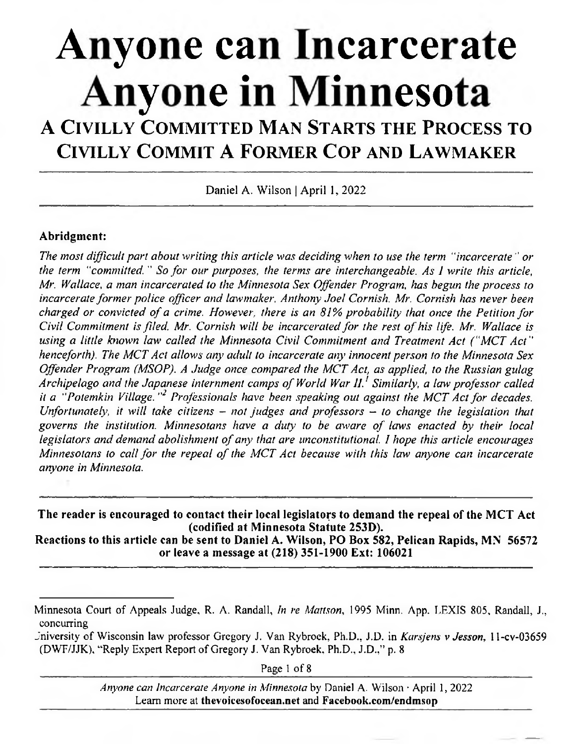# **Anyone can Incarcerate Anyone in Minnesota**

# A CIVILLY COMMITTED MAN STARTS THE PROCESS TO CIVILLY COMMIT A FORMER COP AND LAWMAKER

Daniel A. Wilson | April 1, 2022

#### **Abridgment:**

*The most difficult part about writing this article was deciding when to use the term "incarcerate" or the term "committed. " So for our purposes, the terms are interchangeable. As I write this article, Mr. Wallace, a man incarcerated to the Minnesota Sex Offender Program, has begun the process to incarcerate former police officer and lawmaker, Anthony Joel Cornish. Mr. Cornish has never been charged or convicted of a crime. However, there is an 81% probability that once the Petition for Civil Commitment is filed, Mr. Cornish will be incarcerated for the rest of his life. Mr. Wallace is using a little known law called the Minnesota Civil Commitment and Treatment Act ("MCT Act" henceforth). The MCT Act allows any adult to incarcerate any innocent person to the Minnesota Sex Offender Program (MSOP). A Judge once compared the MCT Act, as applied, to the Russian gulag Archipelago and the Japanese internment camps of World War 11.' Similarly, a law professor called it a "Potemkin Village."<sup>2</sup> Professionals have been speaking out against the MCT Act for decades. Unfortunately, it will take citizens - not judges and professors - to change the legislation that governs the institution. Minnesotans have a duty to be aware of laws enacted by their local legislators and demand abolishment qf any that are unconstitutional. I hope this article encourages Minnesotans to call for the repeal of the MCT Act because with this law anyone can incarcerate anyone in Minnesota.* 

**The reader is encouraged to contact their local legislators to demand the repeal of the MCT Act (codified at Minnesota Statute 253D).** 

**Reactions to this article can be sent to Daniel A. Wilson, P0 Box 582, Pelican Rapids, MN 56572 or leave a message at (218) 351-1900 Ext: 106021** 

Page 1 of 8

*Anyone can Incarcerate Anyone in Minnesota by* Daniel A. Wilson . April 1, 2022 Learn more at **thevoicesofocean.net** and **Facebook.com/endmsop** 

Minnesota Court of Appeals Judge, R. A. Randall, *In re Mattson,* 1995 Minn. App. LEXIS 805, Randall, J., concurring

Jniversity of Wisconsin law professor Gregory J. Van Rybroek, Ph.D., J.D. *in Kars/ens v Jesson. I 1-cv-03659*  (DWF/JJK), "Reply Expert Report of Gregory J. Van Rybroek, Ph.D.. J.D.," p. 8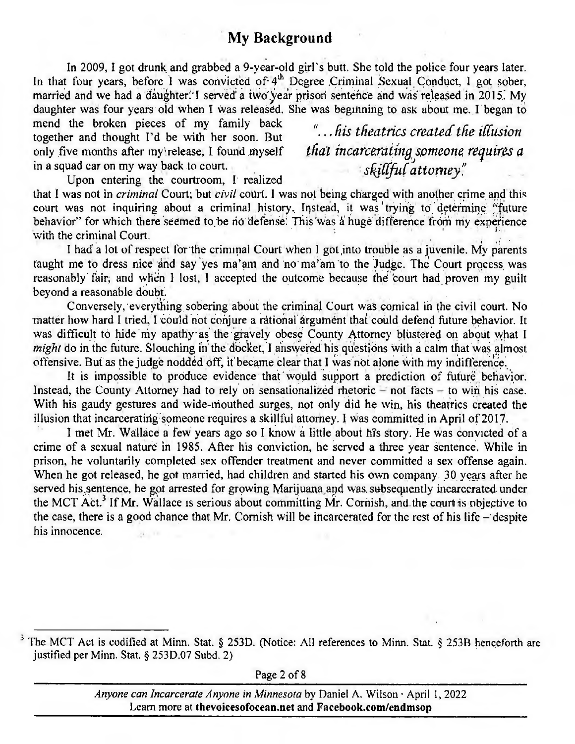# **My Background**

In 2009, I got drunk and grabbed a 9-vear-old girl's butt. She told the police four years later. In that four years, before I was convicted of 4<sup>th</sup> Degree Criminal Sexual Conduct, I got sober, married and we had a daughter. I served a two year prison sentence and was released in 2015. My daughter was four years old when I was released. She was beginning to ask about me. I began to

mend the broken pieces of my family back together and thought I'd be with her soon. But only five months after my release. I found myself in a squad car on my way back to court.

"... his theatrics created the illusion that incarcerating someone requires a<br>skillful attorney."

Upon entering the courtroom, I realized that I was not in *criminal* Court; but *civil* court. I was not being charged with another crime and this

court was not inquiring about a criminal history. Instead, it was trying to determine "future behavior" for which there seemed to be no defense. This was a huge difference from my experience with the criminal Court.

I had a lot of respect for the criminal Court when I got into trouble as a juvenile. My parents taught me to dress nice and say yes ma'am and no ma'am to the Judge. The Court process was reasonably fair, and when I lost, I accepted the outcome because the court had proven my guilt beyond a reasonable doubt.

Conversely, everything sobering about the criminal Court was comical in the civil court. No matter how hard I tried, I could not conjure a rational argument that could defend future behavior. It was difficult to hide my apathy as the gravely obese County Attorney blustered on about what I *might* do in the future. Slouching in the docket, I answered his questions with a calm that was almost offensive. But as the judge nodded off, it became clear that I was not alone with my indifference.

It is impossible to produce evidence that would support a prediction of future behavior. Instead, the County Attorney had to rely on sensationalized rhetoric  $-$  not facts  $-$  to win his case. With his gaudy gestures and wide-mouthed surges, not only did he win, his theatrics created the illusion that incarcerating someone requires a skillful attorney. I was committed in April of 2017.

I met Mr. Wallace a few years ago so I know a little about his story. He was convicted of a crime of a sexual nature in 1985. After his conviction, he served a three year sentence. While in prison, he voluntarily completed sex offender treatment and never committed a sex offense again. When he got released, he got married, had children and started his own company. 30 years after he served his sentence, he got arrested for growing Marijuana and was subsequently incarcerated under the MCT Act.<sup>3</sup> If Mr. Wallace is serious about committing Mr. Cornish, and the court is objective to the case, there is a good chance that Mr. Cornish will be incarcerated for the rest of his life  $-$  despite his innocence.

<sup>&</sup>lt;sup>3</sup> The MCT Act is codified at Minn. Stat. § 253D. (Notice: All references to Minn. Stat. § 253B henceforth are justified per Minn. Stat. § 253D.07 Subd. 2)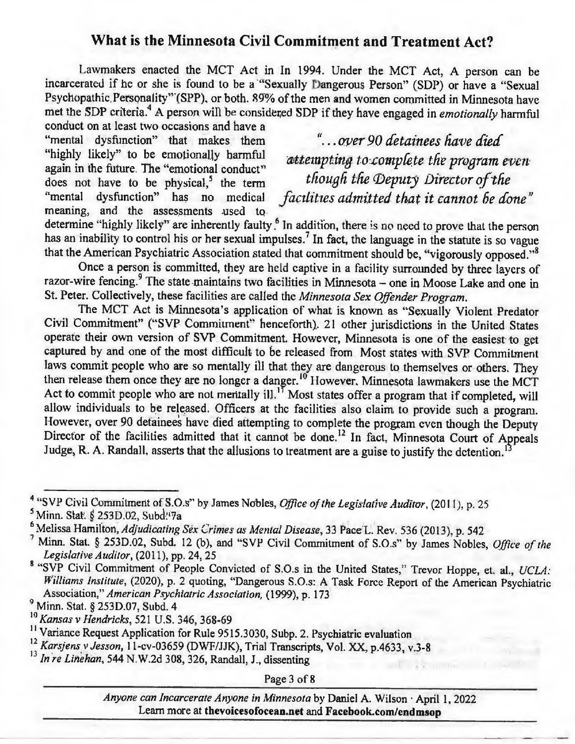# **What is the Minnesota Civil Commitment and Treatment Act?**

Lawmakers enacted the MCT Act in In 1994. Under the MCT Act, A person can be incarcerated if he or she is found to be a "Sexually Dangerous Person" (SDP) or have a "Sexual Psychopathic. Personality" (SPP), or both. 89% of the men and women committed in Minnesota have met the SDP criteria.4A person *will* be considered SDP if they have **engaged** in *emotionally* **harmful** 

**conduct on at least two occasions and have a -**  "mental dysfunction" that makes them "... over 90 detainees have died"<br>"highly likely" to be emotionally harmful attenuating to complete the remains does not have to be physical,<sup>5</sup> the term <sup>*though the TDE thought the TDE the TDE i medical i if*<sub>*n*</sub> *i is no medical*</sup> **meaning, and the assessments .used to.** 

"highly likely" to be emotionally harmful *attempting to:complete the program even* again in the future. The "emotional conduct" <br>does not have to be physical.<sup>5</sup> the term *though the Deputy Director of the* facilities admitted that it cannot be done"

determine "highly likely" are inherently faulty.<sup>6</sup> In addition, there is no need to prove that the person **has an inability to control his or her sexual impulses.**7In fact, the language in the statute is so vague that the American Psychiatric Association stated that commitment should be, "vigorously opposed."8

**Once a person is committed, they are held captive in a facility surrounded by three layers of**  razor-wire fencing.<sup>9</sup> The state maintains two facilities in Minnesota - one in Moose Lake and one in St. Peter. Collectively, these facilities are called the *Minnesota Sex Offender Program.* 

The MCT Act is Minnesota's application of what is known as "Sexually Violent Predator Civil Commitment" ("SVP Commitment" henceforth). 21 other jurisdictions in the United States operate their own version of SVP Commitment. However, Minnesota is one of the easiest to get captured by and one of the most difficult to be released from Most states with SVP Commitment laws commit people who are so mentally ill that they are dangerous to themselves or others. They then release them once they are no longer a danger.<sup>10</sup> However. Minnesota lawmakers use the MCT Act to commit people who are not mentally ill.<sup>17</sup> Most states offer a program that if completed, will allow individuals to be released. Officers at the facilities also claim to provide such a program. However, over 90 detainees have died attempting to complete the program even though the Deputy Director of the facilities admitted that it cannot be done.<sup>12</sup> In fact, Minnesota Court of Appeals Judge, R. A. Randall, asserts that the allusions to treatment are a guise to justify the detention.<sup>1</sup>

"SVP Civil Commitment of S.O.s" by James Nobles, *Office of the Legislative Auditor, (2011), p. 25* 

Page 3 of 8

*Anyone can Incarcerate Anyone in Minnesota* by Daniel A. Wilson . April 1, 2022 Learn more at thevoicesofocean.net and Facebook.com/endmsop

<sup>&</sup>lt;sup>5</sup> Minn. Stat. § 253D.02, Subd.<sup>1</sup>7a

<sup>&</sup>lt;sup>6</sup> Melissa Hamilton, Adjudicating Sex Crimes as Mental Disease, 33 Pace L. Rev. 536 (2013), p. 542

Minn. Stat. § 253D.02, Subd. 12 (b), and "SVP Civil Commitment of S.O.s" by James Nobles, *Office of the* Legislative *Auditor,* (2011), pp. 24, 25

<sup>&</sup>lt;sup>8</sup> "SVP Civil Commitment of People Convicted of S.O.s in the United States," Trevor Hoppe, et. al., *UCLA*: *Williams Institute,* (2020), *p.* 2 quoting, "Dangerous S.O.s: A Task Force Report of the American Psychiatric *Association," American Psychiatric Association*) (1999), p. 173

<sup>&#</sup>x27; Minn. Stat. § 253D.07, Subd. 4

<sup>&</sup>lt;sup>10</sup> *Kansas v Hendricks*, 521 U.S. 346, 368-69<br><sup>11</sup> Variance Request Application for Rule 9515.3030, Subp. 2. Psychiatric evaluation

<sup>&</sup>lt;sup>12</sup> Karsjens v Jesson, 11-cv-03659 (DWF/JJK), Trial Transcripts, Vol. XX, p.4633, v.3-8<br><sup>13</sup> In re Linehan, 544 N.W.2d 308, 326, Randall, J., dissenting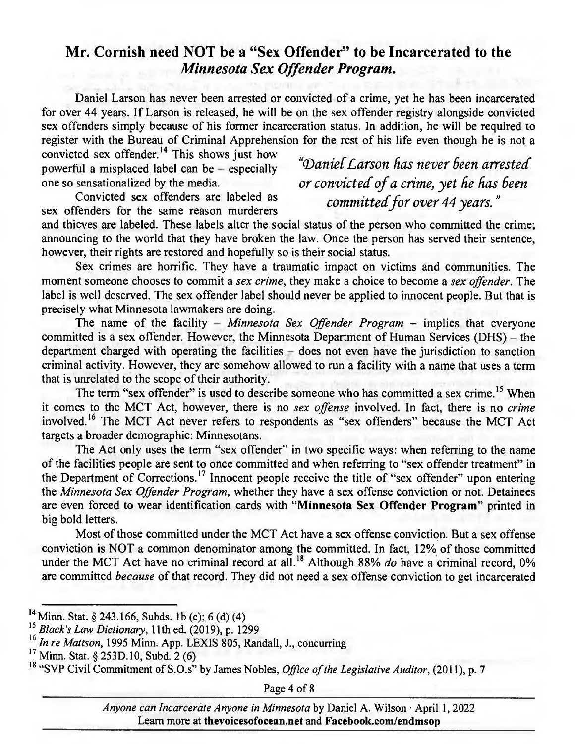# **Mr. Cornish need NOT be a "Sex Offender" to be Incarcerated to the**  *Minnesota Sex Offender Program.*

Daniel Larson has never been arrested or convicted of a crime, yet he has been incarcerated for over 44 years. If Larson is released, he will be on the sex offender registry alongside convicted sex offenders simply because of his former incarceration status. In addition, he will be required to register with the Bureau of Criminal Apprehension for the rest of his life even though he is not a

convicted sex offender.<sup>14</sup> This shows just how powerful a misplaced label can be - especially *contract Carson has never been arrested* powerful a misplaced label can be - especially

Convicted sex offenders are labeled as *committed for over 44 years.*" <br>sex offenders for the same reason murderers

one so sensationalized by the media. *or convicted of a crime, yet he has been* Convicted sex offenders are labeled as

and thieves are labeled. These labels alter the social status of the person who committed the crime; announcing to the world that they have broken the law. Once the person has served their sentence, however, their rights are restored and hopefully so is their social status.

Sex crimes are horrific. They have a traumatic impact on victims and communities. The moment someone chooses to commit a *sex crime,* they make a choice to become a *sex offender.* The label is well deserved. The sex offender label should never be applied to innocent people. But that is precisely what Minnesota lawmakers are doing.

The name of the facility - Minnesota Sex Offender Program - implies that everyone committed is a sex offender. However, the Minnesota Department of Human Services (DHS) - the department charged with operating the facilities – does not even have the jurisdiction to sanction criminal activity. However, they are somehow allowed to run a facility with a name that uses a term that is unrelated to the scope of their authority.

The term "sex offender" is used to describe someone who has committed a sex crime. **15** When it comes to the MCT Act, however, there is no *sex offense* involved. In fact, there is no *crime*  involved.<sup>16</sup> The MCT Act never refers to respondents as "sex offenders" because the MCT Act targets a broader demographic: Minnesotans.

The Act only uses the term "sex offender" in two specific ways: when referring to the name of the facilities people are sent to once committed and when referring to "sex offender treatment" in the Department of Corrections.<sup>17</sup> Innocent people receive the title of "sex offender" upon entering the *Minnesota Sex Offender Program,* whether they have a sex offense conviction or not. Detainees are even forced to wear identification cards with **"Minnesota Sex Offender Program"** printed in big bold letters.

Most of those committed under the MCT Act have a sex offense conviction. But a sex offense conviction is NOT a common denominator among the committed. In fact, 12% of those committed under the MCT Act have no criminal record at all.<sup>18</sup> Although 88% *do* have a criminal record, 0% are committed *because* of that record. They did not need a sex offense conviction to get incarcerated

Page 4 of 8

*Anyone can Incarcerate Anyone in Minnesota* by Daniel A. Wilson · April 1, 2022 Learn more at **thevoicesofocean.net** and **Facebook.com/endmsop** 

<sup>&</sup>lt;sup>14</sup> Minn. Stat. § 243.166, Subds. 1b (c); 6(d) (4)

*<sup>15</sup>Black's Law Dictionary, 11th* ed. (2019), p. 1299

<sup>16</sup>*In re Mattson, 1995* Minn. App. LEXIS *805,* Randall, J., concurring

<sup>&</sup>lt;sup>17</sup> Minn. Stat. § 253D.10, Subd. 2 (6)

**<sup>18</sup>**"SVP Civil Commitment of S.O.s" by James Nobles, *Office of the Legislative Auditor, (2011), p. 7*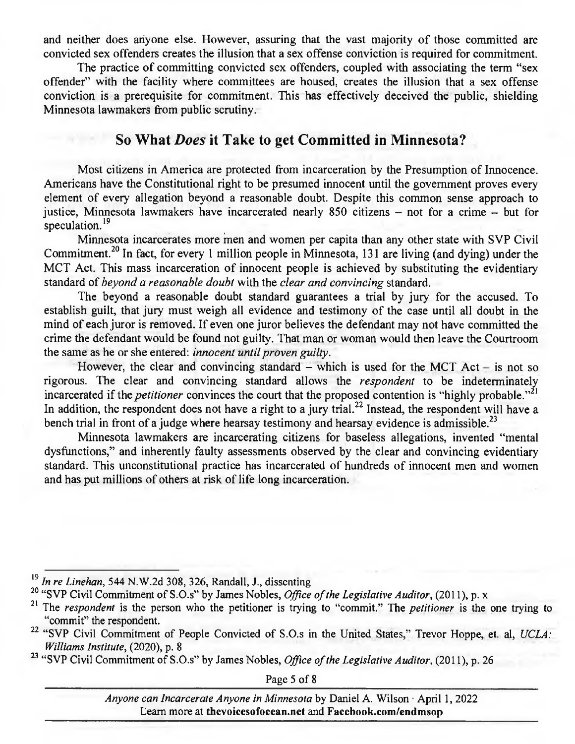and neither does anyone else. However, assuring that the vast majority of those committed are convicted sex offenders creates the illusion that a sex offense conviction is required for commitment.

The practice of committing convicted sex offenders, coupled with associating the term "sex offender" with the facility where committees are housed, creates the illusion that a sex offense conviction is a prerequisite for commitment. This has effectively deceived the public, shielding Minnesota lawmakers from public scrutiny.

#### **So What** *Does* **it Take to get Committed in Minnesota?**

Most citizens in America are protected from incarceration by the Presumption of Innocence. Americans have the Constitutional right to be presumed innocent until the government proves every element of every allegation beyond a reasonable doubt. Despite this common sense approach to justice, Minnesota lawmakers have incarcerated nearly 850 citizens – not for a crime – but for speculation.<sup>19</sup>

Minnesota incarcerates more men and women per capita than any other state with SVP Civil Commitment.<sup>20</sup> In fact, for every 1 million people in Minnesota, 131 are living (and dying) under the MCT Act. This mass incarceration of innocent people is achieved by substituting the evidentiary *standard of beyond a reasonable doubt* with the *clear and convincing* standard.

The beyond a reasonable doubt standard guarantees a trial by jury for the accused. To establish guilt, that jury must weigh all evidence and testimony of the case until all doubt in the mind of each juror is removed. If even one juror believes the defendant may not have committed the crime the defendant would be found not guilty. That man or woman would then leave the Courtroom the same as he or she entered: *innocent until proven guilty.* 

However, the clear and convincing standard – which is used for the MCT  $Act - is not so$ rigorous. The clear and convincing standard allows the *respondent* to be indeterminately incarcerated if the *petitioner* convinces the court that the proposed contention is "highly probable."<sup>21</sup> In addition, the respondent does not have a right to a jury trial.<sup>22</sup> Instead, the respondent will have a bench trial in front of a judge where hearsay testimony and hearsay evidence is admissible.<sup>23</sup>

Minnesota lawmakers are incarcerating citizens for baseless allegations, invented "mental dysfunctions," and inherently faulty assessments observed by the clear and convincing evidentiary standard. This unconstitutional practice has incarcerated of hundreds of innocent men and women and has put millions of others at risk of life long incarceration.

Page *5* of 8

*Anyone can Incarcerate Anyone in Minnesota* by Daniel A. Wilson April 1, 2022 Learn more at **thevoicesofocean.net** and **Facebook.com/endmsop** 

**<sup>19</sup>***In re Linehan, 544* N.W.2d *308, 326,* Randall, J., dissenting

**<sup>20</sup>***"SVP Civil* Commitment of S.O.s" by James Nobles, *Office of the Legislative Auditor, (2011), p. x* 

**<sup>21</sup>**The *respondent* is the person who the petitioner is trying to "commit." The *petitioner* is the one trying to "commit" the respondent.

<sup>22</sup>*"SVP Civil* Commitment of People Convicted of S.O.s in the United States," Trevor Hoppe, et. al, *UCLA: Williams Institute, (2020), p. 8* 

<sup>&</sup>lt;sup>23</sup> "SVP Civil Commitment of S.O.s" by James Nobles, *Office of the Legislative Auditor*, (2011), p. 26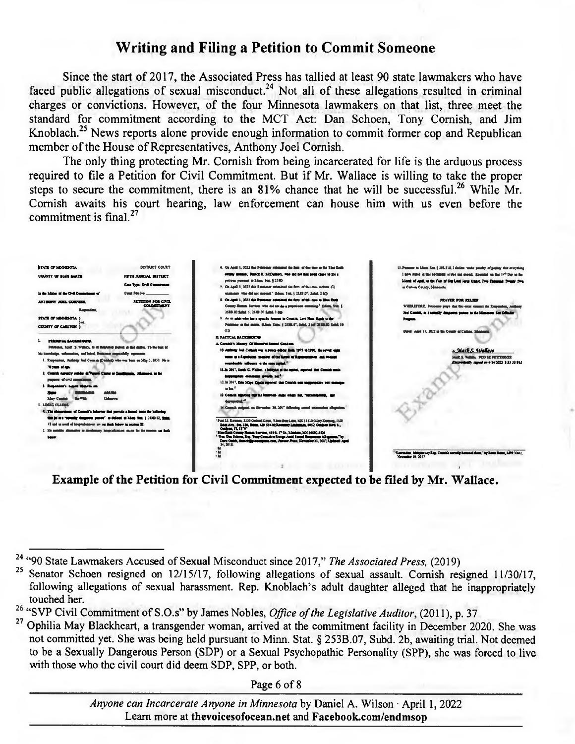# **Writing and Filing a Petition to Commit Someone**

Since the start of 2017, the Associated Press has tallied at least 90 state lawmakers who have faced public allegations of sexual misconduct.<sup>24</sup> Not all of these allegations resulted in criminal charges or convictions. However, of the four Minnesota lawmakers on that list, three meet the standard for commitment according to the MCT Act: Dan Schoen, Tony Cornish, and Jim Knoblach.<sup>25</sup> News reports alone provide enough information to commit former cop and Republican member of the House of Representatives, Anthony Joel Cornish.

The only thing protecting Mr. Cornish from being incarcerated for life is the arduous process required to file a Petition for Civil Commitment. But if Mr. Wallace is willing to take the proper steps to secure the commitment, there is an 81% chance that he will be successful.<sup>26</sup> While Mr. Cornish awaits his court hearing, law enforcement can house him with us even before the commitment is final. $27$ 



Example of the Petition for Civil Commitment expected to be filed by Mr. Wallace.

Page 6 of 8

Anyone can Incarcerate Anyone in Minnesota by Daniel A. Wilson · April 1, 2022 Learn more at thevoicesofocean.net and Facebook.com/endmson

<sup>&</sup>lt;sup>24</sup> "90 State Lawmakers Accused of Sexual Misconduct since 2017," The Associated Press, (2019)

Senator Schoen resigned on 12/15/17, following allegations of sexual assault. Cornish resigned 11/30/17, following allegations of sexual harassment. Rep. Knoblach's adult daughter alleged that he inappropriately touched her.

<sup>&</sup>lt;sup>26</sup> "SVP Civil Commitment of S.O.s" by James Nobles, Office of the Legislative Auditor, (2011), p. 37

<sup>&</sup>lt;sup>27</sup> Ophilia May Blackheart, a transgender woman, arrived at the commitment facility in December 2020. She was not committed yet. She was being held pursuant to Minn. Stat. § 253B.07, Subd. 2b, awaiting trial. Not deemed to be a Sexually Dangerous Person (SDP) or a Sexual Psychopathic Personality (SPP), she was forced to live with those who the civil court did deem SDP, SPP, or both.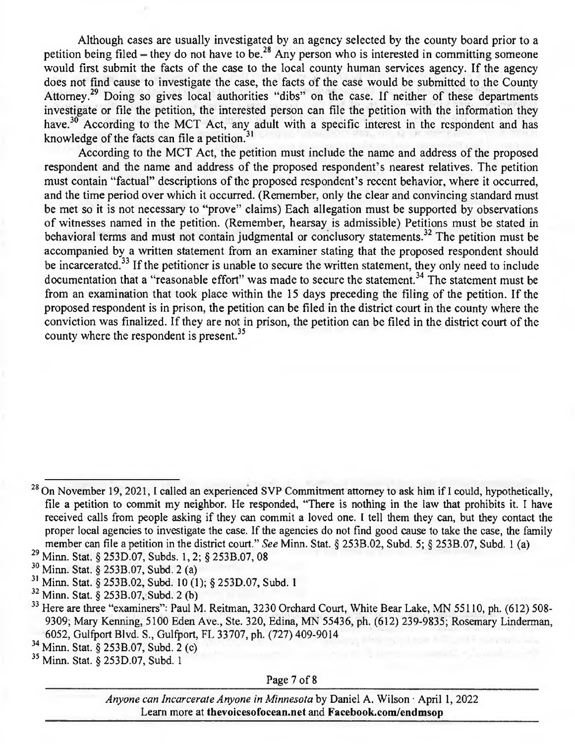Although cases are usually investigated by an agency selected by the county board prior to a petition being filed – they do not have to be.<sup>28</sup> Any person who is interested in committing someone would first submit the *facts* of the case to the local county human services agency. If the agency does not find cause to investigate the case, the facts of the case would be submitted to the County Attorney.<sup>29</sup> Doing so gives local authorities "dibs" on the case. If neither of these departments investigate or file the petition, the interested person can file the petition with the information they have.<sup>30</sup> According to the MCT Act, any adult with a specific interest in the respondent and has knowledge of the facts can file a petition.<sup>31</sup>

According to the MCT Act, the petition must include the name and address of the proposed respondent and the name and address of the proposed respondent's nearest relatives. The petition must contain "factual" descriptions of the proposed respondent's recent behavior, where it occurred, and the time period over which it occurred. (Remember, only the clear and convincing standard must be met so it is not necessary to "prove" claims) Each allegation must be supported by observations of witnesses named in the petition. (Remember, hearsay is admissible) Petitions must be stated in behavioral terms and must not contain judgmental or conclusory statements.<sup>32</sup> The petition must be accompanied by a written statement from an examiner stating that the proposed respondent should be incarcerated.<sup>33</sup> If the petitioner is unable to secure the written statement, they only need to include documentation that a "reasonable effort" was made to secure the statement.<sup>34</sup> The statement must be from an examination that took place within the 15 days preceding the filing of the petition. If the proposed respondent is in prison, the petition can be filed in the district court in the county where the conviction was finalized. If they are not in prison, the petition can be filed in the district court of the county where the respondent is present.<sup>35</sup>

Page 7 of 8

*Anyone can Incarcerate Anyone in Minnesota* by Daniel A. Wilson · April 1, 2022 Learn more at **thevoicesofocean.net** and **Facebook.com/endmsop** 

<sup>&</sup>lt;sup>28</sup> On November 19, 2021, I called an experienced SVP Commitment attorney to ask him if I could, hypothetically, file a petition to commit my neighbor. He responded, "There is nothing in the law that prohibits it. I have received calls from people asking if they can commit a loved one. I tell them they can, but they contact the proper local agencies to investigate the case. If the agencies do not find good cause to take the case, the family member can file a petition in the district court." *See* Minn. Stat. § 253B.02, Subd. *5;* § 253B.07, Subd. 1 (a)

<sup>29</sup>Minn. Stat. § *253D.07,* Subds. 1, 2; § 253B.07, 08

<sup>30</sup>Minn. Stat. § 253B.07, Subd. 2 (a)

<sup>31</sup>Minn. Stat. § 253B.02, Subd. 10 (1); § 253D.07, Subd. I

 $32$  Minn. Stat. § 253B.07, Subd. 2 (b)

<sup>&</sup>lt;sup>33</sup> Here are three "examiners": Paul M. Reitman, 3230 Orchard Court, White Bear Lake, MN 55110, ph. (612) 508-9309; Mary Kenning, 5100 Eden Ave., Ste. 320, Edina, MN *55436,* ph. (612) 239-9835; Rosemary Linderman, 6052, Gulfport Blvd. S., Gulfport, FL 33707, ph. (727) 409-9014

<sup>34</sup>Minn. Stat. § 253B.07, Subd. 2 (c)

Minn. Stat. § 253D.07, Subd. 1